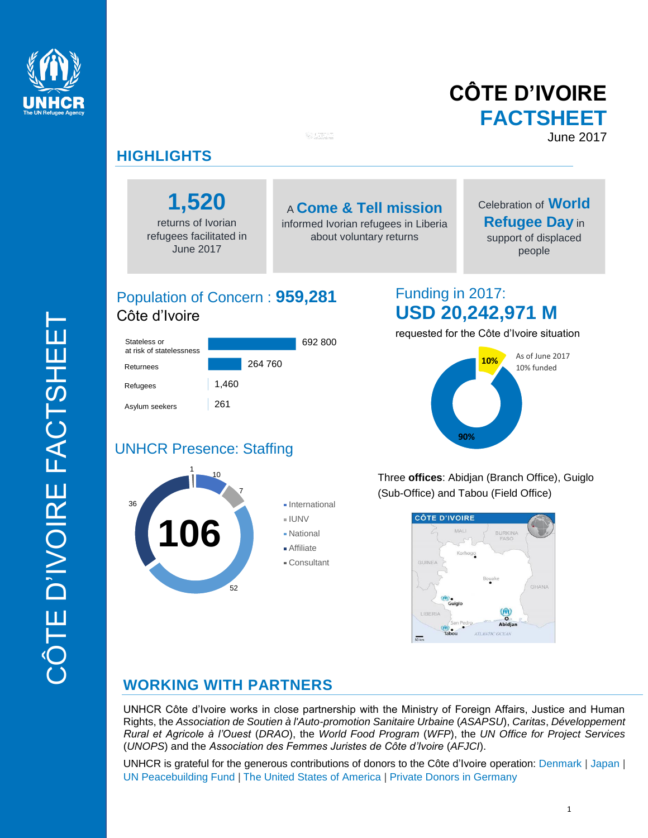

# **CÔTE D'IVOIRE FACTSHEET** June 2017

## **HIGHLIGHTS**

Stateless or at risk of statelessness

Returnees Refugees

Asylum seekers

**1,520**

returns of Ivorian refugees facilitated in June 2017

# A **Come & Tell mission**

informed Ivorian refugees in Liberia about voluntary returns

# Celebration of **World Refugee Day** in

support of displaced people

# Population of Concern : **959,281** Côte d'Ivoire

261

1,460

264 760

692 800

# Funding in 2017: **USD 20,242,971 M**

requested for the Côte d'Ivoire situation



## 1 UNHCR Presence: Staffing



Three **offices**: Abidjan (Branch Office), Guiglo (Sub-Office) and Tabou (Field Office)



## **WORKING WITH PARTNERS**

UNHCR Côte d'Ivoire works in close partnership with the Ministry of Foreign Affairs, Justice and Human Rights, the *Association de Soutien à l'Auto-promotion Sanitaire Urbaine* (*ASAPSU*), *Caritas*, *Développement Rural et Agricole à l'Ouest* (*DRAO*), the *World Food Program* (*WFP*), the *UN Office for Project Services* (*UNOPS*) and the *Association des Femmes Juristes de Côte d'Ivoire* (*AFJCI*).

UNHCR is grateful for the generous contributions of donors to the Côte d'Ivoire operation: Denmark | Japan | UN Peacebuilding Fund | The United States of America | Private Donors in Germany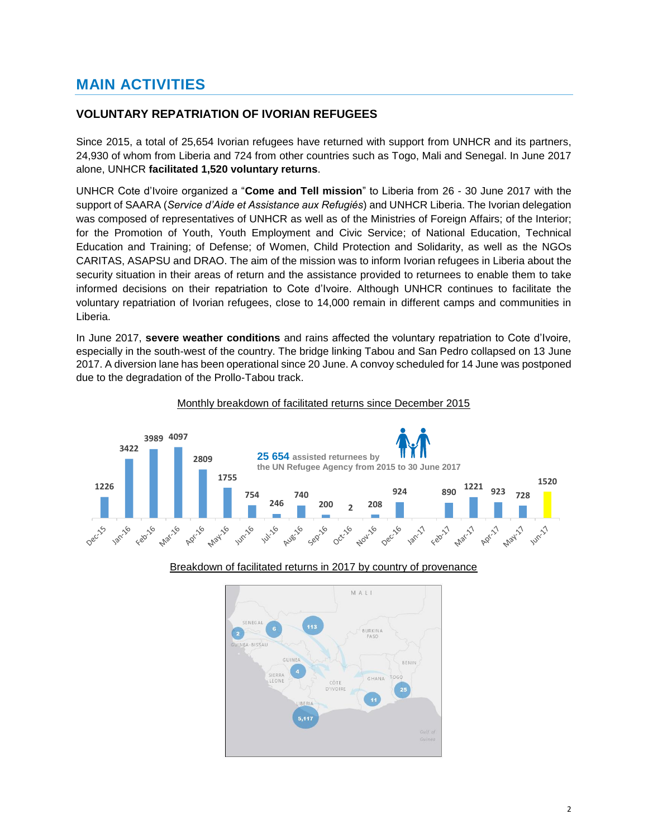## **MAIN ACTIVITIES**

### **VOLUNTARY REPATRIATION OF IVORIAN REFUGEES**

Since 2015, a total of 25,654 Ivorian refugees have returned with support from UNHCR and its partners, 24,930 of whom from Liberia and 724 from other countries such as Togo, Mali and Senegal. In June 2017 alone, UNHCR **facilitated 1,520 voluntary returns**.

UNHCR Cote d'Ivoire organized a "**Come and Tell mission**" to Liberia from 26 - 30 June 2017 with the support of SAARA (*Service d'Aide et Assistance aux Refugiés*) and UNHCR Liberia. The Ivorian delegation was composed of representatives of UNHCR as well as of the Ministries of Foreign Affairs; of the Interior; for the Promotion of Youth, Youth Employment and Civic Service; of National Education, Technical Education and Training; of Defense; of Women, Child Protection and Solidarity, as well as the NGOs CARITAS, ASAPSU and DRAO. The aim of the mission was to inform Ivorian refugees in Liberia about the security situation in their areas of return and the assistance provided to returnees to enable them to take informed decisions on their repatriation to Cote d'Ivoire. Although UNHCR continues to facilitate the voluntary repatriation of Ivorian refugees, close to 14,000 remain in different camps and communities in Liberia.

In June 2017, **severe weather conditions** and rains affected the voluntary repatriation to Cote d'Ivoire, especially in the south-west of the country. The bridge linking Tabou and San Pedro collapsed on 13 June 2017. A diversion lane has been operational since 20 June. A convoy scheduled for 14 June was postponed due to the degradation of the Prollo-Tabou track.

#### Monthly breakdown of facilitated returns since December 2015





#### Breakdown of facilitated returns in 2017 by country of provenance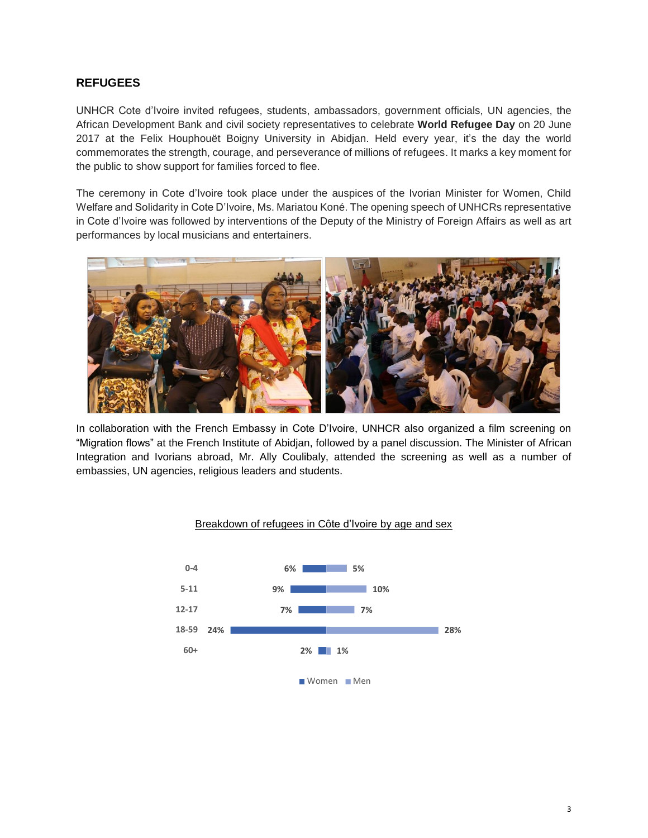## **REFUGEES**

UNHCR Cote d'Ivoire invited refugees, students, ambassadors, government officials, UN agencies, the African Development Bank and civil society representatives to celebrate **World Refugee Day** on 20 June 2017 at the Felix Houphouët Boigny University in Abidjan. Held every year, it's the day the world commemorates the strength, courage, and perseverance of millions of refugees. It marks a key moment for the public to show support for families forced to flee.

The ceremony in Cote d'Ivoire took place under the auspices of the Ivorian Minister for Women, Child Welfare and Solidarity in Cote D'Ivoire, Ms. Mariatou Koné. The opening speech of UNHCRs representative in Cote d'Ivoire was followed by interventions of the Deputy of the Ministry of Foreign Affairs as well as art performances by local musicians and entertainers.



In collaboration with the French Embassy in Cote D'Ivoire, UNHCR also organized a film screening on "Migration flows" at the French Institute of Abidjan, followed by a panel discussion. The Minister of African Integration and Ivorians abroad, Mr. Ally Coulibaly, attended the screening as well as a number of embassies, UN agencies, religious leaders and students.